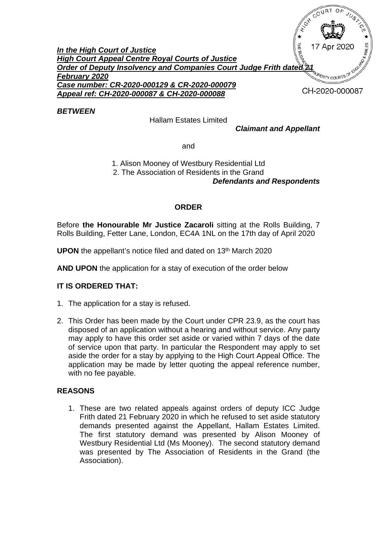

*BETWEEN*

Hallam Estates Limited

*Claimant and Appellant*

and

1. Alison Mooney of Westbury Residential Ltd 2. The Association of Residents in the Grand *Defendants and Respondents*

## **ORDER**

Before **the Honourable Mr Justice Zacaroli** sitting at the Rolls Building, 7 Rolls Building, Fetter Lane, London, EC4A 1NL on the 17th day of April 2020

**UPON** the appellant's notice filed and dated on 13<sup>th</sup> March 2020

**AND UPON** the application for a stay of execution of the order below

## **IT IS ORDERED THAT:**

- 1. The application for a stay is refused.
- 2. This Order has been made by the Court under CPR 23.9, as the court has disposed of an application without a hearing and without service. Any party may apply to have this order set aside or varied within 7 days of the date of service upon that party. In particular the Respondent may apply to set aside the order for a stay by applying to the High Court Appeal Office. The application may be made by letter quoting the appeal reference number, with no fee payable.

## **REASONS**

1. These are two related appeals against orders of deputy ICC Judge Frith dated 21 February 2020 in which he refused to set aside statutory demands presented against the Appellant, Hallam Estates Limited. The first statutory demand was presented by Alison Mooney of Westbury Residential Ltd (Ms Mooney). The second statutory demand was presented by The Association of Residents in the Grand (the Association).